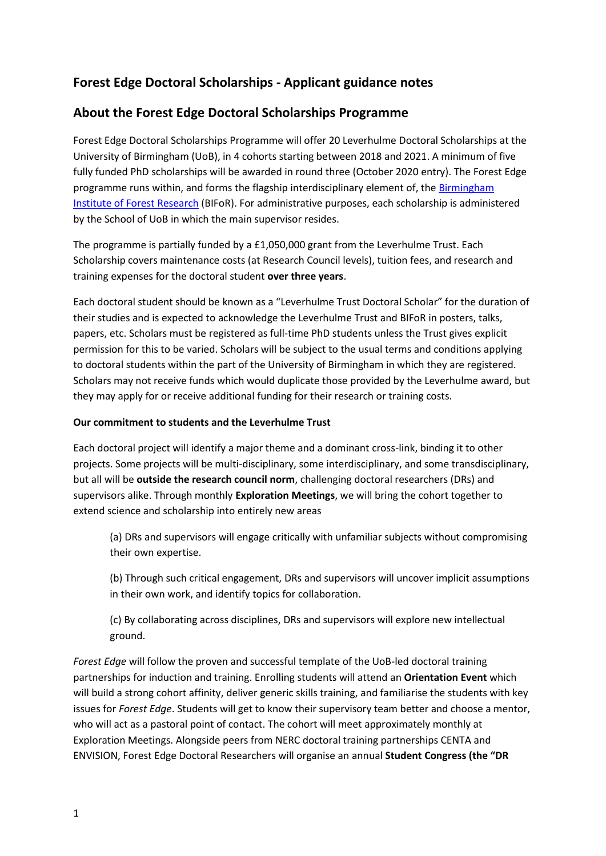# **Forest Edge Doctoral Scholarships - Applicant guidance notes**

## **About the Forest Edge Doctoral Scholarships Programme**

Forest Edge Doctoral Scholarships Programme will offer 20 Leverhulme Doctoral Scholarships at the University of Birmingham (UoB), in 4 cohorts starting between 2018 and 2021. A minimum of five fully funded PhD scholarships will be awarded in round three (October 2020 entry). The Forest Edge programme runs within, and forms the flagship interdisciplinary element of, the [Birmingham](https://www.birmingham.ac.uk/research/activity/bifor/index.aspx)  [Institute of Forest Research](https://www.birmingham.ac.uk/research/activity/bifor/index.aspx) (BIFoR). For administrative purposes, each scholarship is administered by the School of UoB in which the main supervisor resides.

The programme is partially funded by a £1,050,000 grant from the Leverhulme Trust. Each Scholarship covers maintenance costs (at Research Council levels), tuition fees, and research and training expenses for the doctoral student **over three years**.

Each doctoral student should be known as a "Leverhulme Trust Doctoral Scholar" for the duration of their studies and is expected to acknowledge the Leverhulme Trust and BIFoR in posters, talks, papers, etc. Scholars must be registered as full-time PhD students unless the Trust gives explicit permission for this to be varied. Scholars will be subject to the usual terms and conditions applying to doctoral students within the part of the University of Birmingham in which they are registered. Scholars may not receive funds which would duplicate those provided by the Leverhulme award, but they may apply for or receive additional funding for their research or training costs.

#### **Our commitment to students and the Leverhulme Trust**

Each doctoral project will identify a major theme and a dominant cross-link, binding it to other projects. Some projects will be multi-disciplinary, some interdisciplinary, and some transdisciplinary, but all will be **outside the research council norm**, challenging doctoral researchers (DRs) and supervisors alike. Through monthly **Exploration Meetings**, we will bring the cohort together to extend science and scholarship into entirely new areas

(a) DRs and supervisors will engage critically with unfamiliar subjects without compromising their own expertise.

(b) Through such critical engagement, DRs and supervisors will uncover implicit assumptions in their own work, and identify topics for collaboration.

(c) By collaborating across disciplines, DRs and supervisors will explore new intellectual ground.

*Forest Edge* will follow the proven and successful template of the UoB-led doctoral training partnerships for induction and training. Enrolling students will attend an **Orientation Event** which will build a strong cohort affinity, deliver generic skills training, and familiarise the students with key issues for *Forest Edge*. Students will get to know their supervisory team better and choose a mentor, who will act as a pastoral point of contact. The cohort will meet approximately monthly at Exploration Meetings. Alongside peers from NERC doctoral training partnerships CENTA and ENVISION, Forest Edge Doctoral Researchers will organise an annual **Student Congress (the "DR**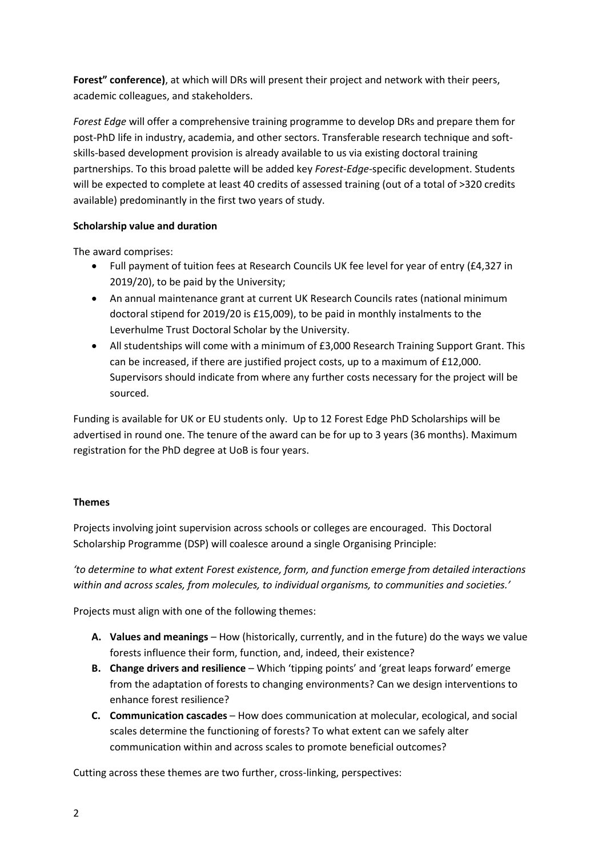**Forest" conference)**, at which will DRs will present their project and network with their peers, academic colleagues, and stakeholders.

*Forest Edge* will offer a comprehensive training programme to develop DRs and prepare them for post-PhD life in industry, academia, and other sectors. Transferable research technique and softskills-based development provision is already available to us via existing doctoral training partnerships. To this broad palette will be added key *Forest-Edge*-specific development. Students will be expected to complete at least 40 credits of assessed training (out of a total of >320 credits available) predominantly in the first two years of study.

### **Scholarship value and duration**

The award comprises:

- Full payment of tuition fees at Research Councils UK fee level for year of entry (£4,327 in 2019/20), to be paid by the University;
- An annual maintenance grant at current UK Research Councils rates (national minimum doctoral stipend for 2019/20 is £15,009), to be paid in monthly instalments to the Leverhulme Trust Doctoral Scholar by the University.
- All studentships will come with a minimum of £3,000 Research Training Support Grant. This can be increased, if there are justified project costs, up to a maximum of £12,000. Supervisors should indicate from where any further costs necessary for the project will be sourced.

Funding is available for UK or EU students only. Up to 12 Forest Edge PhD Scholarships will be advertised in round one. The tenure of the award can be for up to 3 years (36 months). Maximum registration for the PhD degree at UoB is four years.

### **Themes**

Projects involving joint supervision across schools or colleges are encouraged. This Doctoral Scholarship Programme (DSP) will coalesce around a single Organising Principle:

*'to determine to what extent Forest existence, form, and function emerge from detailed interactions within and across scales, from molecules, to individual organisms, to communities and societies.'*

Projects must align with one of the following themes:

- **A. Values and meanings** How (historically, currently, and in the future) do the ways we value forests influence their form, function, and, indeed, their existence?
- **B. Change drivers and resilience** Which 'tipping points' and 'great leaps forward' emerge from the adaptation of forests to changing environments? Can we design interventions to enhance forest resilience?
- **C. Communication cascades** How does communication at molecular, ecological, and social scales determine the functioning of forests? To what extent can we safely alter communication within and across scales to promote beneficial outcomes?

Cutting across these themes are two further, cross-linking, perspectives: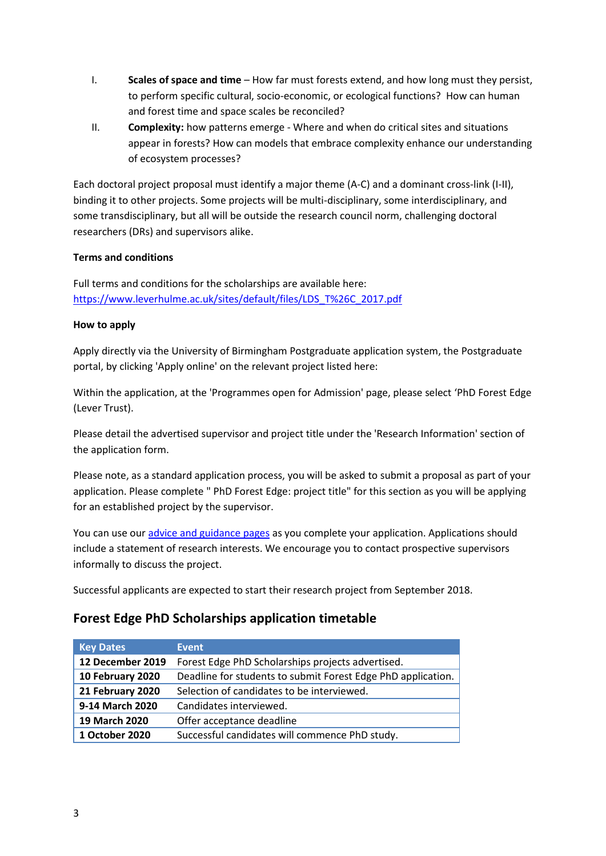- I. **Scales of space and time** How far must forests extend, and how long must they persist, to perform specific cultural, socio-economic, or ecological functions? How can human and forest time and space scales be reconciled?
- II. **Complexity:** how patterns emerge Where and when do critical sites and situations appear in forests? How can models that embrace complexity enhance our understanding of ecosystem processes?

Each doctoral project proposal must identify a major theme (A-C) and a dominant cross-link (I-II), binding it to other projects. Some projects will be multi-disciplinary, some interdisciplinary, and some transdisciplinary, but all will be outside the research council norm, challenging doctoral researchers (DRs) and supervisors alike.

### **Terms and conditions**

Full terms and conditions for the scholarships are available here: [https://www.leverhulme.ac.uk/sites/default/files/LDS\\_T%26C\\_2017.pdf](https://www.leverhulme.ac.uk/sites/default/files/LDS_T%26C_2017.pdf)

#### **How to apply**

Apply directly via the University of Birmingham Postgraduate application system, the Postgraduate portal, by clicking 'Apply online' on the relevant project listed here:

Within the application, at the 'Programmes open for Admission' page, please select 'PhD Forest Edge (Lever Trust).

Please detail the advertised supervisor and project title under the 'Research Information' section of the application form.

Please note, as a standard application process, you will be asked to submit a proposal as part of your application. Please complete " PhD Forest Edge: project title" for this section as you will be applying for an established project by the supervisor.

You can use our [advice and guidance pages](https://www.birmingham.ac.uk/postgraduate/courses/apply-pg/index.aspx) as you complete your application. Applications should include a statement of research interests. We encourage you to contact prospective supervisors informally to discuss the project.

Successful applicants are expected to start their research project from September 2018.

## **Forest Edge PhD Scholarships application timetable**

| <b>Key Dates</b> | Event                                                        |
|------------------|--------------------------------------------------------------|
| 12 December 2019 | Forest Edge PhD Scholarships projects advertised.            |
| 10 February 2020 | Deadline for students to submit Forest Edge PhD application. |
| 21 February 2020 | Selection of candidates to be interviewed.                   |
| 9-14 March 2020  | Candidates interviewed.                                      |
| 19 March 2020    | Offer acceptance deadline                                    |
| 1 October 2020   | Successful candidates will commence PhD study.               |